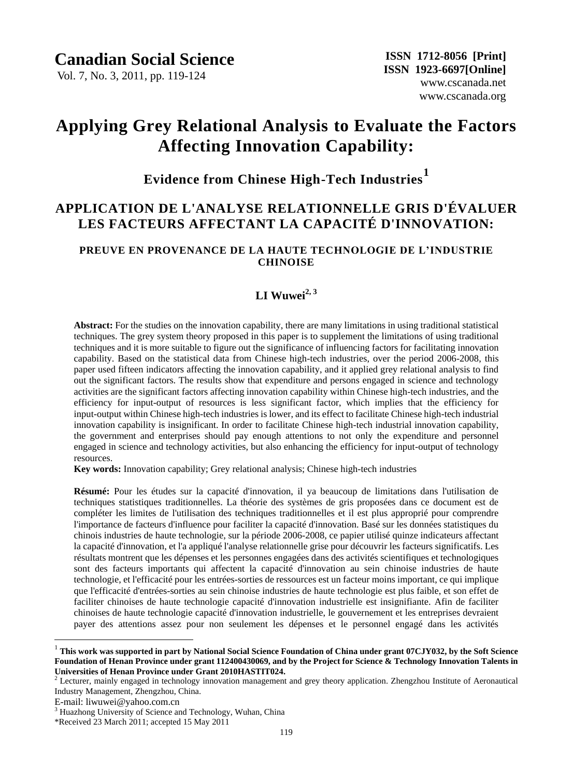Vol. 7, No. 3, 2011, pp. 119-124

# **Applying Grey Relational Analysis to Evaluate the Factors Affecting Innovation Capability:**

# **Evidence from Chinese High-Tech Industries<sup>1</sup>**

# **APPLICATION DE L'ANALYSE RELATIONNELLE GRIS D'ÉVALUER LES FACTEURS AFFECTANT LA CAPACITÉ D'INNOVATION:**

### **PREUVE EN PROVENANCE DE LA HAUTE TECHNOLOGIE DE L'INDUSTRIE CHINOISE**

# **LI Wuwei2, <sup>3</sup>**

**Abstract:** For the studies on the innovation capability, there are many limitations in using traditional statistical techniques. The grey system theory proposed in this paper is to supplement the limitations of using traditional techniques and it is more suitable to figure out the significance of influencing factors for facilitating innovation capability. Based on the statistical data from Chinese high-tech industries, over the period 2006-2008, this paper used fifteen indicators affecting the innovation capability, and it applied grey relational analysis to find out the significant factors. The results show that expenditure and persons engaged in science and technology activities are the significant factors affecting innovation capability within Chinese high-tech industries, and the efficiency for input-output of resources is less significant factor, which implies that the efficiency for input-output within Chinese high-tech industries is lower, and its effect to facilitate Chinese high-tech industrial innovation capability is insignificant. In order to facilitate Chinese high-tech industrial innovation capability, the government and enterprises should pay enough attentions to not only the expenditure and personnel engaged in science and technology activities, but also enhancing the efficiency for input-output of technology resources.

**Key words:** Innovation capability; Grey relational analysis; Chinese high-tech industries

**Résumé:** Pour les études sur la capacité d'innovation, il ya beaucoup de limitations dans l'utilisation de techniques statistiques traditionnelles. La théorie des systèmes de gris proposées dans ce document est de compléter les limites de l'utilisation des techniques traditionnelles et il est plus approprié pour comprendre l'importance de facteurs d'influence pour faciliter la capacité d'innovation. Basé sur les données statistiques du chinois industries de haute technologie, sur la période 2006-2008, ce papier utilisé quinze indicateurs affectant la capacité d'innovation, et l'a appliqué l'analyse relationnelle grise pour découvrir les facteurs significatifs. Les résultats montrent que les dépenses et les personnes engagées dans des activités scientifiques et technologiques sont des facteurs importants qui affectent la capacité d'innovation au sein chinoise industries de haute technologie, et l'efficacité pour les entrées-sorties de ressources est un facteur moins important, ce qui implique que l'efficacité d'entrées-sorties au sein chinoise industries de haute technologie est plus faible, et son effet de faciliter chinoises de haute technologie capacité d'innovation industrielle est insignifiante. Afin de faciliter chinoises de haute technologie capacité d'innovation industrielle, le gouvernement et les entreprises devraient payer des attentions assez pour non seulement les dépenses et le personnel engagé dans les activités

 $\overline{a}$ 

<sup>1</sup> **This work was supported in part by National Social Science Foundation of China under grant 07CJY032, by the Soft Science Foundation of Henan Province under grant 112400430069, and by the Project for Science & Technology Innovation Talents in Universities of Henan Province under Grant 2010HASTIT024.**

<sup>&</sup>lt;sup>2</sup> Lecturer, mainly engaged in technology innovation management and grey theory application. Zhengzhou Institute of Aeronautical Industry Management, Zhengzhou, China.

E-mail: liwuwei@yahoo.com.cn

<sup>&</sup>lt;sup>3</sup> Huazhong University of Science and Technology, Wuhan, China

<sup>\*</sup>Received 23 March 2011; accepted 15 May 2011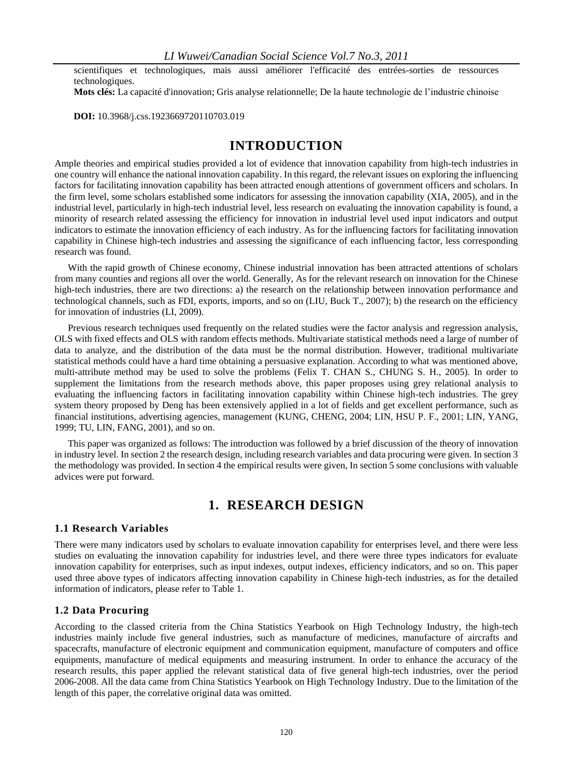scientifiques et technologiques, mais aussi améliorer l'efficacité des entrées-sorties de ressources technologiques.

**Mots clés:** La capacité d'innovation; Gris analyse relationnelle; De la haute technologie de l'industrie chinoise

 **DOI:** 10.3968/j.css.1923669720110703.019

## **INTRODUCTION**

Ample theories and empirical studies provided a lot of evidence that innovation capability from high-tech industries in one country will enhance the national innovation capability. In this regard, the relevant issues on exploring the influencing factors for facilitating innovation capability has been attracted enough attentions of government officers and scholars. In the firm level, some scholars established some indicators for assessing the innovation capability (XIA, 2005), and in the industrial level, particularly in high-tech industrial level, less research on evaluating the innovation capability is found, a minority of research related assessing the efficiency for innovation in industrial level used input indicators and output indicators to estimate the innovation efficiency of each industry. As for the influencing factors for facilitating innovation capability in Chinese high-tech industries and assessing the significance of each influencing factor, less corresponding research was found.

With the rapid growth of Chinese economy, Chinese industrial innovation has been attracted attentions of scholars from many counties and regions all over the world. Generally, As for the relevant research on innovation for the Chinese high-tech industries, there are two directions: a) the research on the relationship between innovation performance and technological channels, such as FDI, exports, imports, and so on (LIU, Buck T., 2007); b) the research on the efficiency for innovation of industries (LI, 2009).

Previous research techniques used frequently on the related studies were the factor analysis and regression analysis, OLS with fixed effects and OLS with random effects methods. Multivariate statistical methods need a large of number of data to analyze, and the distribution of the data must be the normal distribution. However, traditional multivariate statistical methods could have a hard time obtaining a persuasive explanation. According to what was mentioned above, multi-attribute method may be used to solve the problems (Felix T. CHAN S., CHUNG S. H., 2005). In order to supplement the limitations from the research methods above, this paper proposes using grey relational analysis to evaluating the influencing factors in facilitating innovation capability within Chinese high-tech industries. The grey system theory proposed by Deng has been extensively applied in a lot of fields and get excellent performance, such as financial institutions, advertising agencies, management (KUNG, CHENG, 2004; LIN, HSU P. F., 2001; LIN, YANG, 1999; TU, LIN, FANG, 2001), and so on.

This paper was organized as follows: The introduction was followed by a brief discussion of the theory of innovation in industry level. In section 2 the research design, including research variables and data procuring were given. In section 3 the methodology was provided. In section 4 the empirical results were given, In section 5 some conclusions with valuable advices were put forward.

# **1. RESEARCH DESIGN**

#### **1.1 Research Variables**

There were many indicators used by scholars to evaluate innovation capability for enterprises level, and there were less studies on evaluating the innovation capability for industries level, and there were three types indicators for evaluate innovation capability for enterprises, such as input indexes, output indexes, efficiency indicators, and so on. This paper used three above types of indicators affecting innovation capability in Chinese high-tech industries, as for the detailed information of indicators, please refer to Table 1.

#### **1.2 Data Procuring**

According to the classed criteria from the China Statistics Yearbook on High Technology Industry, the high-tech industries mainly include five general industries, such as manufacture of medicines, manufacture of aircrafts and spacecrafts, manufacture of electronic equipment and communication equipment, manufacture of computers and office equipments, manufacture of medical equipments and measuring instrument. In order to enhance the accuracy of the research results, this paper applied the relevant statistical data of five general high-tech industries, over the period 2006-2008. All the data came from China Statistics Yearbook on High Technology Industry. Due to the limitation of the length of this paper, the correlative original data was omitted.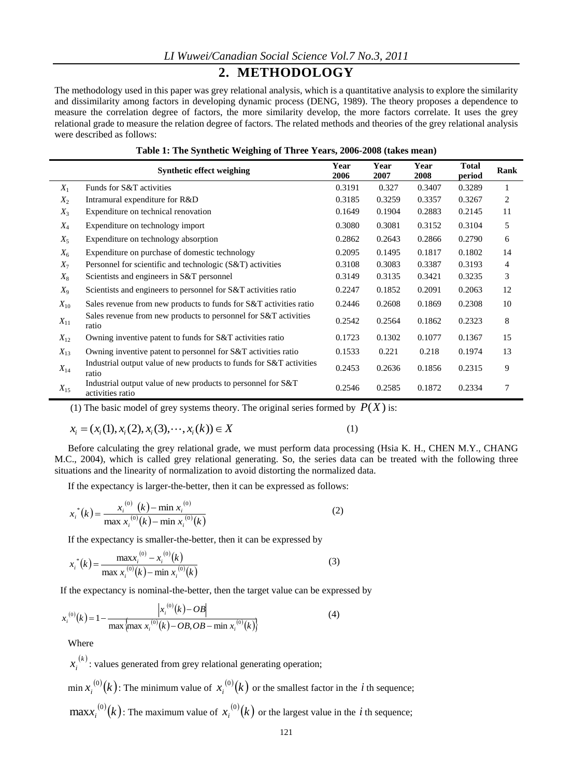# **2. METHODOLOGY**

The methodology used in this paper was grey relational analysis, which is a quantitative analysis to explore the similarity and dissimilarity among factors in developing dynamic process (DENG, 1989). The theory proposes a dependence to measure the correlation degree of factors, the more similarity develop, the more factors correlate. It uses the grey relational grade to measure the relation degree of factors. The related methods and theories of the grey relational analysis were described as follows:

| Table 1: The Synthetic Weighing of Three Years, 2006-2008 (takes mean) |
|------------------------------------------------------------------------|
|------------------------------------------------------------------------|

|          | Synthetic effect weighing                                                        | Year<br>2006 | Year<br>2007 | Year<br>2008 | <b>Total</b><br>period | Rank           |
|----------|----------------------------------------------------------------------------------|--------------|--------------|--------------|------------------------|----------------|
| $X_1$    | Funds for S&T activities                                                         | 0.3191       | 0.327        | 0.3407       | 0.3289                 | 1              |
| $X_2$    | Intramural expenditure for R&D                                                   | 0.3185       | 0.3259       | 0.3357       | 0.3267                 | $\overline{c}$ |
| $X_3$    | Expenditure on technical renovation                                              | 0.1649       | 0.1904       | 0.2883       | 0.2145                 | 11             |
| $X_4$    | Expenditure on technology import                                                 | 0.3080       | 0.3081       | 0.3152       | 0.3104                 | 5              |
| $X_5$    | Expenditure on technology absorption                                             | 0.2862       | 0.2643       | 0.2866       | 0.2790                 | 6              |
| $X_6$    | Expenditure on purchase of domestic technology                                   | 0.2095       | 0.1495       | 0.1817       | 0.1802                 | 14             |
| $X_7$    | Personnel for scientific and technologic (S&T) activities                        | 0.3108       | 0.3083       | 0.3387       | 0.3193                 | 4              |
| $X_8$    | Scientists and engineers in S&T personnel                                        | 0.3149       | 0.3135       | 0.3421       | 0.3235                 | 3              |
| $X_9$    | Scientists and engineers to personnel for S&T activities ratio                   | 0.2247       | 0.1852       | 0.2091       | 0.2063                 | 12             |
| $X_{10}$ | Sales revenue from new products to funds for S&T activities ratio                | 0.2446       | 0.2608       | 0.1869       | 0.2308                 | 10             |
| $X_{11}$ | Sales revenue from new products to personnel for S&T activities<br>ratio         | 0.2542       | 0.2564       | 0.1862       | 0.2323                 | 8              |
| $X_{12}$ | Owning inventive patent to funds for S&T activities ratio                        | 0.1723       | 0.1302       | 0.1077       | 0.1367                 | 15             |
| $X_{13}$ | Owning inventive patent to personnel for S&T activities ratio                    | 0.1533       | 0.221        | 0.218        | 0.1974                 | 13             |
| $X_{14}$ | Industrial output value of new products to funds for S&T activities<br>ratio     | 0.2453       | 0.2636       | 0.1856       | 0.2315                 | 9              |
| $X_{15}$ | Industrial output value of new products to personnel for S&T<br>activities ratio | 0.2546       | 0.2585       | 0.1872       | 0.2334                 | 7              |

(1) The basic model of grey systems theory. The original series formed by  $P(X)$  is:<br>  $x_i = (x_i(1), x_i(2), x_i(3), \dots, x_i(k)) \in X$  (1)

$$
x_i = (x_i(1), x_i(2), x_i(3), \cdots, x_i(k)) \in X
$$

Before calculating the grey relational grade, we must perform data processing (Hsia K. H., CHEN M.Y., CHANG M.C., 2004), which is called grey relational generating. So, the series data can be treated with the following three situations and the linearity of normalization to avoid distorting the normalized data.

If the expectancy is larger-the-better, then it can be expressed as follows:

$$
x_i^*(k) = \frac{x_i^{(0)}(k) - \min x_i^{(0)}}{\max x_i^{(0)}(k) - \min x_i^{(0)}(k)}
$$
(2)

If the expectancy is smaller-the-better, then it can be expressed by

$$
x_i^*(k) = \frac{\max_{i} (0)}{\max_{i} x_i^{(0)}(k) - \min_{i} x_i^{(0)}(k)} \tag{3}
$$

If the expectancy is nominal-the-better, then the target value can be expressed by

$$
x_i^{(0)}(k) = 1 - \frac{|x_i^{(0)}(k) - OB|}{\max\{\max x_i^{(0)}(k) - OB, OB - \min x_i^{(0)}(k)\}}
$$
(4)

Where

*k*  $x_i^{(k)}$ : values generated from grey relational generating operation;

 $\min x_i^{(0)}(k)$ : The minimum value of  $x_i^{(0)}(k)$  or the smallest factor in the *i* th sequence;  $\max_{i}^{(0)}(k)$ : The maximum value of  $x_i^{(0)}(k)$  or the largest value in the *i* th sequence;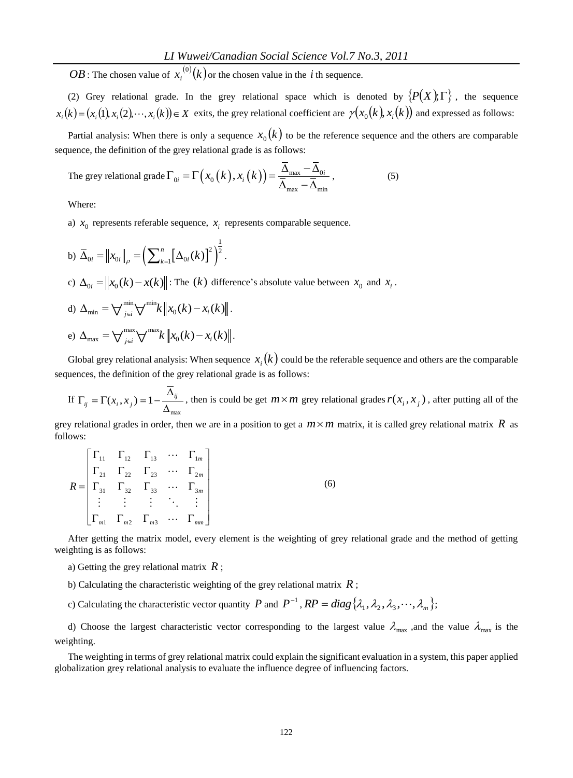: The chosen value of  $x_i^{(0)}(k)$  or the chosen value in the *i* th sequence.

(2) Grey relational grade. In the grey relational space which is denoted by  $\{P(X),\Gamma\}$ , the sequence  $x_i(k) = (x_i(1), x_i(2), \dots, x_i(k)) \in X$  exits, the grey relational coefficient are  $\gamma(x_0(k), x_i(k))$  and expressed as follows:

Partial analysis: When there is only a sequence  $x_0(k)$  to be the reference sequence and the others are comparable sequence, the definition of the grey relational grade is as follows:

uence, the definition of the grey relational grade is as follows:  
The grey relational grade 
$$
\Gamma_{0i} = \Gamma(x_0(k), x_i(k)) = \frac{\overline{\Delta}_{max} - \overline{\Delta}_{0i}}{\overline{\Delta}_{max} - \overline{\Delta}_{min}}
$$
, (5)

Where:

a)  $x_0$  represents referable sequence,  $x_i$  represents comparable sequence.

b) 
$$
\overline{\Delta}_{0i} = ||x_{0i}||_{\rho} = \left(\sum_{k=1}^{n} [\Delta_{0i}(k)]^2\right)^{\frac{1}{2}}
$$
.

c)  $\Delta_{0i} = ||x_0(k) - x(k)||$ : The  $(k)$  difference's absolute value between  $x_0$  and  $x_i$ .<br>d)  $\Delta_{\min} = \bigvee_{j \in i}^{\min} \bigvee_{j \in i}^{\min} k ||x_0(k) - x_i(k)||$ .

d) 
$$
\Delta_{\min} = \bigvee_{j \in i}^{\min} \bigvee_{j \in i}^{\min} k \big\| x_0(k) - x_i(k) \big\|.
$$
  
e) 
$$
\Delta_{\max} = \bigvee_{j \in i}^{\max} \bigvee_{k}^{\max} k \big\| x_0(k) - x_i(k) \big\|.
$$

Global grey relational analysis: When sequence  $x_i(k)$  could be the referable sequence and others are the comparable sequences, the definition of the grey relational grade is as follows:

If max  $(x_i, x_j) = 1$ Δ  $\Delta$  $\Gamma_{ii} = \Gamma(x_i, x_j) = 1 - \frac{\Delta_{ij}}{\Delta_{ii}}$  $f_{ij} = \Gamma(x_i, x_j) = 1 - \frac{\Delta_{ij}}{\Delta_{ij}}$ , then is could be get  $m \times m$  grey relational grades  $r(x_i, x_j)$ , after putting all of the

grey relational grades in order, then we are in a position to get a  $m \times m$  matrix, it is called grey relational matrix R as follows:

| OB : The chosen value of $x_i^{(0)}(k)$ or the chosen value in the i th see                                                                                                                                                                                                                                                                                   |
|---------------------------------------------------------------------------------------------------------------------------------------------------------------------------------------------------------------------------------------------------------------------------------------------------------------------------------------------------------------|
| (2) Grey relational grade. In the grey relational space which<br>$k$ ) = $(x_i(1), x_i(2), \dots, x_i(k)) \in X$ exits, the grey relational coefficient a                                                                                                                                                                                                     |
| Partial analysis: When there is only a sequence $x_{0}(k)$ to be the ref<br>uence, the definition of the grey relational grade is as follows:                                                                                                                                                                                                                 |
| The grey relational grade $\Gamma_{0i} = \Gamma(x_0(k), x_i(k)) = \frac{\Delta_{\text{max}} - \Delta_{0i}}{\overline{\Delta}_{\text{max}} - \overline{\Delta}_{\text{min}}}$ ,                                                                                                                                                                                |
| Where:                                                                                                                                                                                                                                                                                                                                                        |
| a) $x_0$ represents referable sequence, $x_i$ represents comparable seque                                                                                                                                                                                                                                                                                     |
| b) $\overline{\Delta}_{0i} =   x_{0i}  _{\rho} = \left(\sum_{k=1}^{n} [\Delta_{0i}(k)]^2\right)^{\frac{1}{2}}$ .                                                                                                                                                                                                                                              |
| c) $\Delta_{0i} =   x_0(k) - x(k)  $ : The $(k)$ difference's absolute value betw                                                                                                                                                                                                                                                                             |
| d) $\Delta_{\min} = \bigvee_{i \in i}^{\min} \bigvee_{k}^{\min} k \ x_0(k) - x_i(k)\ .$                                                                                                                                                                                                                                                                       |
| $\Rightarrow \Delta_{\max} = \bigvee_{i \in i}^{\max} \bigvee_{k \in i}^{\max} k \, \ x_0(k) - x_i(k)\ $ .                                                                                                                                                                                                                                                    |
| Global grey relational analysis: When sequence $\,x_i(k)\,$ could be the re<br>uences, the definition of the grey relational grade is as follows:                                                                                                                                                                                                             |
| If $\Gamma_{ij} = \Gamma(x_i, x_j) = 1 - \frac{\Delta_{ij}}{\Delta}$ , then is could be get $m \times m$ grey rela                                                                                                                                                                                                                                            |
| relational grades in order, then we are in a position to get a $m \times m$<br>OWS:                                                                                                                                                                                                                                                                           |
| $R = \begin{bmatrix} \Gamma_{11} & \Gamma_{12} & \Gamma_{13} & \cdots & \Gamma_{1m} \\ \Gamma_{21} & \Gamma_{22} & \Gamma_{23} & \cdots & \Gamma_{2m} \\ \Gamma_{31} & \Gamma_{32} & \Gamma_{33} & \cdots & \Gamma_{3m} \\ \vdots & \vdots & \vdots & \ddots & \vdots \\ \Gamma_{m1} & \Gamma_{m2} & \Gamma_{m3} & \cdots & \Gamma_{mm} \end{bmatrix}$<br>(6) |
| After getting the matrix model, every element is the weighting of g<br>ghting is as follows:                                                                                                                                                                                                                                                                  |
| a) Getting the grey relational matrix $R$ ;                                                                                                                                                                                                                                                                                                                   |
| b) Calculating the characteristic weighting of the grey relational matri                                                                                                                                                                                                                                                                                      |
| c) Calculating the characteristic vector quantity $P$ and $P^{-1}$ , $RP = a$                                                                                                                                                                                                                                                                                 |
| d) Choose the largest characteristic vector corresponding to the l<br>ghting.                                                                                                                                                                                                                                                                                 |
| The weighting in terms of grey relational matrix could explain the sign<br>palization grey relational analysis to evaluate the influence degree of i                                                                                                                                                                                                          |
|                                                                                                                                                                                                                                                                                                                                                               |
| 122                                                                                                                                                                                                                                                                                                                                                           |

After getting the matrix model, every element is the weighting of grey relational grade and the method of getting weighting is as follows:

b) Calculating the characteristic weighting of the grey relational matrix  $R$ ;

c) Calculating the characteristic vector quantity  $P$  and  $P^{-1}$ ,  $RP = diag\{\lambda_1, \lambda_2, \lambda_3, \cdots, \lambda_m\}$ 

c) Calculating the characteristic vector quantity P and  $P^{-1}$ ,  $RP = diag\{\lambda_1, \lambda_2, \lambda_3, \dots, \lambda_m\};$ <br>d) Choose the largest characteristic vector corresponding to the largest value  $\lambda_{\text{max}}$ , and the value  $\lambda_{\text{max}}$  is the weighting.

The weighting in terms of grey relational matrix could explain the significant evaluation in a system, this paper applied globalization grey relational analysis to evaluate the influence degree of influencing factors.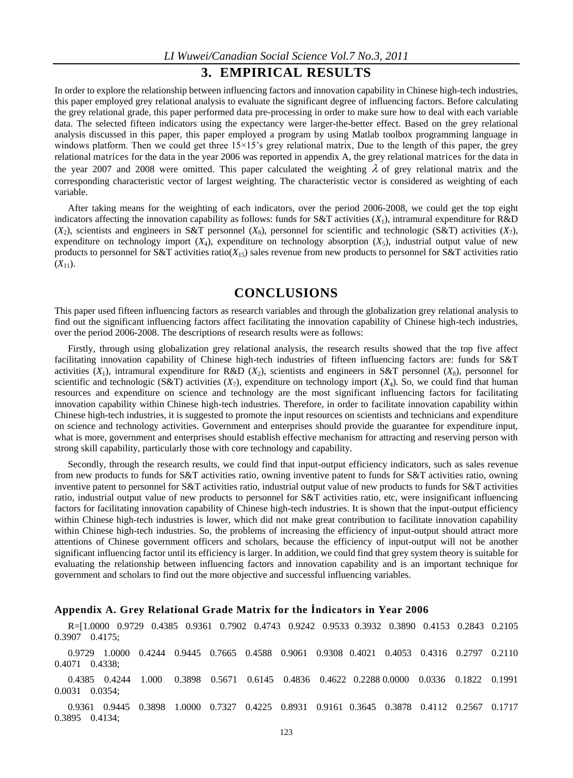## **3. EMPIRICAL RESULTS**

In order to explore the relationship between influencing factors and innovation capability in Chinese high-tech industries, this paper employed grey relational analysis to evaluate the significant degree of influencing factors. Before calculating the grey relational grade, this paper performed data pre-processing in order to make sure how to deal with each variable data. The selected fifteen indicators using the expectancy were larger-the-better effect. Based on the grey relational analysis discussed in this paper, this paper employed a program by using Matlab toolbox programming language in windows platform. Then we could get three  $15\times15$ 's grey relational matrix, Due to the length of this paper, the grey relational matrices for the data in the year 2006 was reported in appendix A, the grey relational matrices for the data in the year 2007 and 2008 were omitted. This paper calculated the weighting  $\lambda$  of grey relational matrix and the corresponding characteristic vector of largest weighting. The characteristic vector is considered as weighting of each variable.

After taking means for the weighting of each indicators, over the period 2006-2008, we could get the top eight indicators affecting the innovation capability as follows: funds for  $S&T$  activities  $(X_1)$ , intramural expenditure for  $R&D$  $(X_2)$ , scientists and engineers in S&T personnel  $(X_8)$ , personnel for scientific and technologic (S&T) activities  $(X_7)$ , expenditure on technology import  $(X_4)$ , expenditure on technology absorption  $(X_5)$ , industrial output value of new products to personnel for  $S\&T$  activities ratio( $X_{15}$ ) sales revenue from new products to personnel for  $S\&T$  activities ratio  $(X_{11})$ .

## **CONCLUSIONS**

This paper used fifteen influencing factors as research variables and through the globalization grey relational analysis to find out the significant influencing factors affect facilitating the innovation capability of Chinese high-tech industries, over the period 2006-2008. The descriptions of research results were as follows:

Firstly, through using globalization grey relational analysis, the research results showed that the top five affect facilitating innovation capability of Chinese high-tech industries of fifteen influencing factors are: funds for S&T activities  $(X_1)$ , intramural expenditure for R&D  $(X_2)$ , scientists and engineers in S&T personnel  $(X_8)$ , personnel for scientific and technologic (S&T) activities  $(X_7)$ , expenditure on technology import  $(X_4)$ . So, we could find that human resources and expenditure on science and technology are the most significant influencing factors for facilitating innovation capability within Chinese high-tech industries. Therefore, in order to facilitate innovation capability within Chinese high-tech industries, it is suggested to promote the input resources on scientists and technicians and expenditure on science and technology activities. Government and enterprises should provide the guarantee for expenditure input, what is more, government and enterprises should establish effective mechanism for attracting and reserving person with strong skill capability, particularly those with core technology and capability.

Secondly, through the research results, we could find that input-output efficiency indicators, such as sales revenue from new products to funds for S&T activities ratio, owning inventive patent to funds for S&T activities ratio, owning inventive patent to personnel for S&T activities ratio, industrial output value of new products to funds for S&T activities ratio, industrial output value of new products to personnel for S&T activities ratio, etc, were insignificant influencing factors for facilitating innovation capability of Chinese high-tech industries. It is shown that the input-output efficiency within Chinese high-tech industries is lower, which did not make great contribution to facilitate innovation capability within Chinese high-tech industries. So, the problems of increasing the efficiency of input-output should attract more attentions of Chinese government officers and scholars, because the efficiency of input-output will not be another significant influencing factor until its efficiency is larger. In addition, we could find that grey system theory is suitable for evaluating the relationship between influencing factors and innovation capability and is an important technique for government and scholars to find out the more objective and successful influencing variables.

#### **Appendix A. Grey Relational Grade Matrix for the İndicators in Year 2006**

R=[1.0000 0.9729 0.4385 0.9361 0.7902 0.4743 0.9242 0.9533 0.3932 0.3890 0.4153 0.2843 0.2105 0.3907 0.4175;

0.9729 1.0000 0.4244 0.9445 0.7665 0.4588 0.9061 0.9308 0.4021 0.4053 0.4316 0.2797 0.2110 0.4071 0.4338;

0.4385 0.4244 1.000 0.3898 0.5671 0.6145 0.4836 0.4622 0.2288 0.0000 0.0336 0.1822 0.1991 0.0031 0.0354;

0.9361 0.9445 0.3898 1.0000 0.7327 0.4225 0.8931 0.9161 0.3645 0.3878 0.4112 0.2567 0.1717 0.3895 0.4134;